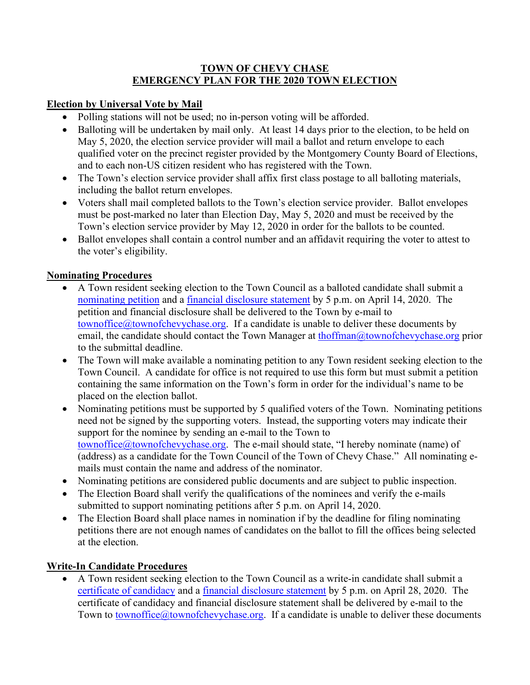### **TOWN OF CHEVY CHASE EMERGENCY PLAN FOR THE 2020 TOWN ELECTION**

## **Election by Universal Vote by Mail**

- Polling stations will not be used; no in-person voting will be afforded.
- Balloting will be undertaken by mail only. At least 14 days prior to the election, to be held on May 5, 2020, the election service provider will mail a ballot and return envelope to each qualified voter on the precinct register provided by the Montgomery County Board of Elections, and to each non-US citizen resident who has registered with the Town.
- The Town's election service provider shall affix first class postage to all balloting materials, including the ballot return envelopes.
- Voters shall mail completed ballots to the Town's election service provider. Ballot envelopes must be post-marked no later than Election Day, May 5, 2020 and must be received by the Town's election service provider by May 12, 2020 in order for the ballots to be counted.
- Ballot envelopes shall contain a control number and an affidavit requiring the voter to attest to the voter's eligibility.

## **Nominating Procedures**

- A Town resident seeking election to the Town Council as a balloted candidate shall submit a [nominating petition](https://www.townofchevychase.org/DocumentCenter/View/3024/Nominating-Petition-2020) and a [financial disclosure statement](https://www.townofchevychase.org/DocumentCenter/View/3023/Financial-Disclosure-Form-2020) by 5 p.m. on April 14, 2020. The petition and financial disclosure shall be delivered to the Town by e-mail to townoffice $@$ townofchevychase.org. If a candidate is unable to deliver these documents by email, the candidate should contact the Town Manager at [thoffman@townofchevychase.org](mailto:thoffman@townofchevychase.org) prior to the submittal deadline.
- The Town will make available a nominating petition to any Town resident seeking election to the Town Council. A candidate for office is not required to use this form but must submit a petition containing the same information on the Town's form in order for the individual's name to be placed on the election ballot.
- Nominating petitions must be supported by 5 qualified voters of the Town. Nominating petitions need not be signed by the supporting voters. Instead, the supporting voters may indicate their support for the nominee by sending an e-mail to the Town to [townoffice@townofchevychase.org.](mailto:townoffice@townofchevychase.org) The e-mail should state, "I hereby nominate (name) of (address) as a candidate for the Town Council of the Town of Chevy Chase." All nominating emails must contain the name and address of the nominator.
- Nominating petitions are considered public documents and are subject to public inspection.
- The Election Board shall verify the qualifications of the nominees and verify the e-mails submitted to support nominating petitions after 5 p.m. on April 14, 2020.
- The Election Board shall place names in nomination if by the deadline for filing nominating petitions there are not enough names of candidates on the ballot to fill the offices being selected at the election.

# **Write-In Candidate Procedures**

• A Town resident seeking election to the Town Council as a write-in candidate shall submit a [certificate of candidacy](https://www.townofchevychase.org/DocumentCenter/View/3031/Certificate-of-Candidacy-2020-final) and a [financial disclosure statement](https://www.townofchevychase.org/DocumentCenter/View/3023/Financial-Disclosure-Form-2020) by 5 p.m. on April 28, 2020. The certificate of candidacy and financial disclosure statement shall be delivered by e-mail to the Town to [townoffice@townofchevychase.org.](mailto:townoffice@townofchevychase.org) If a candidate is unable to deliver these documents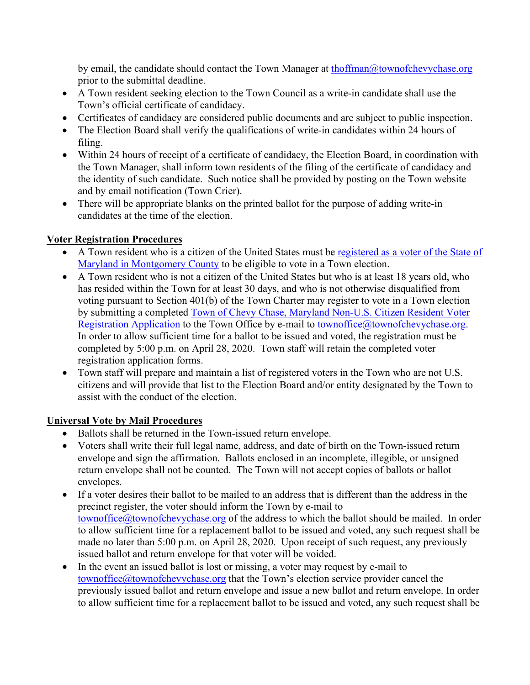by email, the candidate should contact the Town Manager at [thoffman@townofchevychase.org](mailto:thoffman@townofchevychase.org) prior to the submittal deadline.

- A Town resident seeking election to the Town Council as a write-in candidate shall use the Town's official certificate of candidacy.
- Certificates of candidacy are considered public documents and are subject to public inspection.
- The Election Board shall verify the qualifications of write-in candidates within 24 hours of filing.
- Within 24 hours of receipt of a certificate of candidacy, the Election Board, in coordination with the Town Manager, shall inform town residents of the filing of the certificate of candidacy and the identity of such candidate. Such notice shall be provided by posting on the Town website and by email notification (Town Crier).
- There will be appropriate blanks on the printed ballot for the purpose of adding write-in candidates at the time of the election.

# **Voter Registration Procedures**

- A Town resident who is a citizen of the United States must be [registered as a voter of](https://www.montgomerycountymd.gov/Elections/Resources/Files/pdfs/Voter%20services/English_Internet_VRA.pdf) the State of Maryland [in Montgomery County](https://www.montgomerycountymd.gov/Elections/Resources/Files/pdfs/Voter%20services/English_Internet_VRA.pdf) to be eligible to vote in a Town election.
- A Town resident who is not a citizen of the United States but who is at least 18 years old, who has resided within the Town for at least 30 days, and who is not otherwise disqualified from voting pursuant to Section 401(b) of the Town Charter may register to vote in a Town election by submitting a completed [Town of Chevy Chase, Maryland Non-U.S. Citizen Resident Voter](https://www.townofchevychase.org/DocumentCenter/View/3032/TOCC-Voter-Registration-Application-final-3-14-19)  [Registration Application](https://www.townofchevychase.org/DocumentCenter/View/3032/TOCC-Voter-Registration-Application-final-3-14-19) to the Town Office by e-mail to [townoffice@townofchevychase.org.](mailto:townoffice@townofchevychase.org) In order to allow sufficient time for a ballot to be issued and voted, the registration must be completed by 5:00 p.m. on April 28, 2020. Town staff will retain the completed voter registration application forms.
- Town staff will prepare and maintain a list of registered voters in the Town who are not U.S. citizens and will provide that list to the Election Board and/or entity designated by the Town to assist with the conduct of the election.

# **Universal Vote by Mail Procedures**

- Ballots shall be returned in the Town-issued return envelope.
- Voters shall write their full legal name, address, and date of birth on the Town-issued return envelope and sign the affirmation. Ballots enclosed in an incomplete, illegible, or unsigned return envelope shall not be counted. The Town will not accept copies of ballots or ballot envelopes.
- If a voter desires their ballot to be mailed to an address that is different than the address in the precinct register, the voter should inform the Town by e-mail to [townoffice@townofchevychase.org](mailto:townoffice@townofchevychase.org) of the address to which the ballot should be mailed. In order to allow sufficient time for a replacement ballot to be issued and voted, any such request shall be made no later than 5:00 p.m. on April 28, 2020. Upon receipt of such request, any previously issued ballot and return envelope for that voter will be voided.
- In the event an issued ballot is lost or missing, a voter may request by e-mail to townoffice $@$ townofchevychase.org that the Town's election service provider cancel the previously issued ballot and return envelope and issue a new ballot and return envelope. In order to allow sufficient time for a replacement ballot to be issued and voted, any such request shall be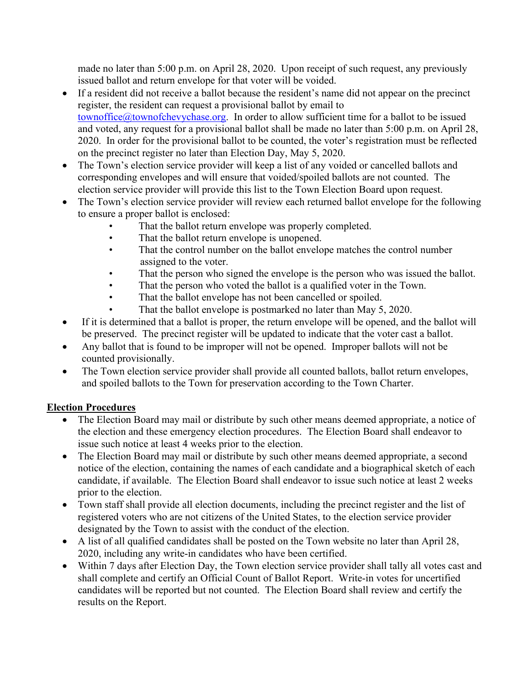made no later than 5:00 p.m. on April 28, 2020. Upon receipt of such request, any previously issued ballot and return envelope for that voter will be voided.

- If a resident did not receive a ballot because the resident's name did not appear on the precinct register, the resident can request a provisional ballot by email to [townoffice@townofchevychase.org.](mailto:townoffice@townofchevychase.org) In order to allow sufficient time for a ballot to be issued and voted, any request for a provisional ballot shall be made no later than 5:00 p.m. on April 28, 2020. In order for the provisional ballot to be counted, the voter's registration must be reflected on the precinct register no later than Election Day, May 5, 2020.
- The Town's election service provider will keep a list of any voided or cancelled ballots and corresponding envelopes and will ensure that voided/spoiled ballots are not counted. The election service provider will provide this list to the Town Election Board upon request.
- The Town's election service provider will review each returned ballot envelope for the following to ensure a proper ballot is enclosed:
	- That the ballot return envelope was properly completed.
	- That the ballot return envelope is unopened.
	- That the control number on the ballot envelope matches the control number assigned to the voter.
	- That the person who signed the envelope is the person who was issued the ballot.
	- That the person who voted the ballot is a qualified voter in the Town.
	- That the ballot envelope has not been cancelled or spoiled.
	- That the ballot envelope is postmarked no later than May 5, 2020.
- If it is determined that a ballot is proper, the return envelope will be opened, and the ballot will be preserved. The precinct register will be updated to indicate that the voter cast a ballot.
- Any ballot that is found to be improper will not be opened. Improper ballots will not be counted provisionally.
- The Town election service provider shall provide all counted ballots, ballot return envelopes, and spoiled ballots to the Town for preservation according to the Town Charter.

### **Election Procedures**

- The Election Board may mail or distribute by such other means deemed appropriate, a notice of the election and these emergency election procedures. The Election Board shall endeavor to issue such notice at least 4 weeks prior to the election.
- The Election Board may mail or distribute by such other means deemed appropriate, a second notice of the election, containing the names of each candidate and a biographical sketch of each candidate, if available. The Election Board shall endeavor to issue such notice at least 2 weeks prior to the election.
- Town staff shall provide all election documents, including the precinct register and the list of registered voters who are not citizens of the United States, to the election service provider designated by the Town to assist with the conduct of the election.
- A list of all qualified candidates shall be posted on the Town website no later than April 28, 2020, including any write-in candidates who have been certified.
- Within 7 days after Election Day, the Town election service provider shall tally all votes cast and shall complete and certify an Official Count of Ballot Report. Write-in votes for uncertified candidates will be reported but not counted. The Election Board shall review and certify the results on the Report.